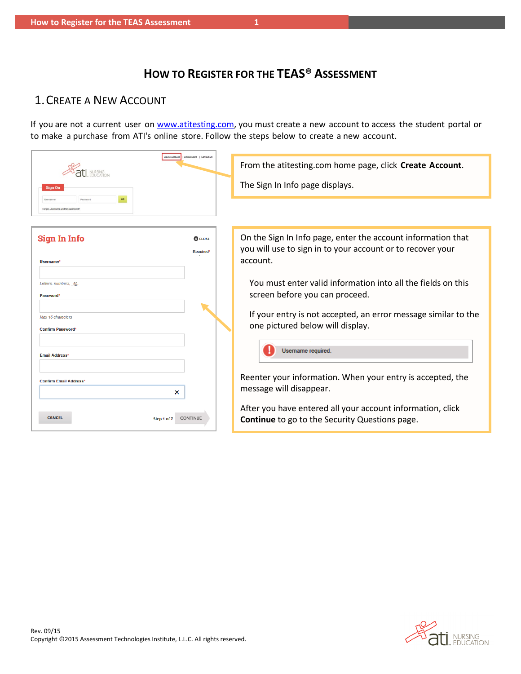# **HOW TO REGISTER FOR THE TEAS® ASSESSMENT**

## <span id="page-0-0"></span>1.CREATE A NEW ACCOUNT

If you are not a current user on [www.atitesting.com,](http://www.atitesting.com/) you must create a new account to access the student portal or to make a purchase from ATI's online store. Follow the steps below to create a new account.

| Create Account                                                | Online Store   Contact Us               | From the atitesting.com home page, click Create Account.                                                                               |  |  |
|---------------------------------------------------------------|-----------------------------------------|----------------------------------------------------------------------------------------------------------------------------------------|--|--|
| Sign On                                                       |                                         | The Sign In Info page displays.                                                                                                        |  |  |
| GO<br>Password<br>Username<br>Forgot username and/or password |                                         |                                                                                                                                        |  |  |
| Sign In Info<br>Username <sup>*</sup>                         | <b>@</b> CLOSE<br>Required <sup>*</sup> | On the Sign In Info page, enter the account information that<br>you will use to sign in to your account or to recover your<br>account. |  |  |
| Letters, numbers, @,<br>Password*                             |                                         | You must enter valid information into all the fields on this<br>screen before you can proceed.                                         |  |  |
| Max 16 characters<br><b>Confirm Password*</b>                 |                                         | If your entry is not accepted, an error message similar to the<br>one pictured below will display.                                     |  |  |
| <b>Email Address<sup>*</sup></b>                              |                                         | <b>Username required.</b>                                                                                                              |  |  |
| <b>Confirm Email Address*</b><br>×                            |                                         | Reenter your information. When your entry is accepted, the<br>message will disappear.                                                  |  |  |
| <b>CANCEL</b><br><b>CONTINUE</b><br>Step 1 of 7               |                                         | After you have entered all your account information, click<br><b>Continue</b> to go to the Security Questions page.                    |  |  |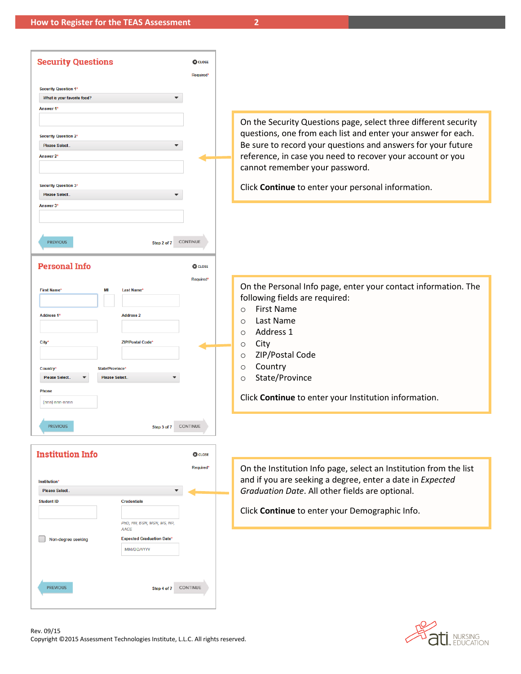| <b>Security Questions</b>                                                                                                                                                                                                                                                  | <b>@</b> CLOSE<br>Required*       |                                                                                                                                                                                                                                                                                                                                                 |
|----------------------------------------------------------------------------------------------------------------------------------------------------------------------------------------------------------------------------------------------------------------------------|-----------------------------------|-------------------------------------------------------------------------------------------------------------------------------------------------------------------------------------------------------------------------------------------------------------------------------------------------------------------------------------------------|
| <b>Security Question 1*</b><br>What is your favorite food?<br>$\overline{\phantom{0}}$                                                                                                                                                                                     |                                   |                                                                                                                                                                                                                                                                                                                                                 |
| Answer 1*                                                                                                                                                                                                                                                                  |                                   | On the Security Questions page, select three different security                                                                                                                                                                                                                                                                                 |
| <b>Security Question 2*</b><br><b>Please Select.</b><br>▼<br>Answer 2'                                                                                                                                                                                                     |                                   | questions, one from each list and enter your answer for each.<br>Be sure to record your questions and answers for your future<br>reference, in case you need to recover your account or you<br>cannot remember your password.                                                                                                                   |
| <b>Security Question 3*</b><br>Please Select<br>Answer 3*                                                                                                                                                                                                                  |                                   | Click Continue to enter your personal information.                                                                                                                                                                                                                                                                                              |
|                                                                                                                                                                                                                                                                            |                                   |                                                                                                                                                                                                                                                                                                                                                 |
| Step 2 of 7 CONTINUE<br><b>PREVIOUS</b><br><b>Personal Info</b>                                                                                                                                                                                                            | <b>@</b> CLOSE                    |                                                                                                                                                                                                                                                                                                                                                 |
| <b>First Name</b><br><b>Last Name*</b><br>MI<br><b>Address 1*</b><br><b>Address 2</b><br>City*<br><b>ZIP/Postal Code*</b><br>Country*<br>State/Province <sup>4</sup><br>Please Select<br>Please Select<br><b>Phone</b><br>(nnn) nnn-nnnn<br><b>PREVIOUS</b><br>Step 3 of 7 | Required <sup>*</sup><br>CONTINUE | On the Personal Info page, enter your contact information. The<br>following fields are required:<br><b>First Name</b><br>$\circ$<br>Last Name<br>$\Omega$<br>Address 1<br>$\Omega$<br>City<br>$\circ$<br>ZIP/Postal Code<br>$\circ$<br>Country<br>$\circ$<br>State/Province<br>$\circ$<br>Click Continue to enter your Institution information. |
| <b>Institution Info</b>                                                                                                                                                                                                                                                    | <b>C</b> CLOSE                    |                                                                                                                                                                                                                                                                                                                                                 |
| <b>Institution*</b><br>Please Select<br><b>Credentials</b><br><b>Student ID</b>                                                                                                                                                                                            | Required*                         | On the Institution Info page, select an Institution from the list<br>and if you are seeking a degree, enter a date in Expected<br>Graduation Date. All other fields are optional.                                                                                                                                                               |
| PhD, RN, BSN, MSN, MS, NP,<br><b>AACE</b>                                                                                                                                                                                                                                  |                                   | Click Continue to enter your Demographic Info.                                                                                                                                                                                                                                                                                                  |
| <b>Expected Graduation Date*</b><br>Non-degree seeking<br>MM/DD/YYYY                                                                                                                                                                                                       |                                   |                                                                                                                                                                                                                                                                                                                                                 |
| <b>PREVIOUS</b><br>Step 4 of 7                                                                                                                                                                                                                                             | CONTINUE                          |                                                                                                                                                                                                                                                                                                                                                 |

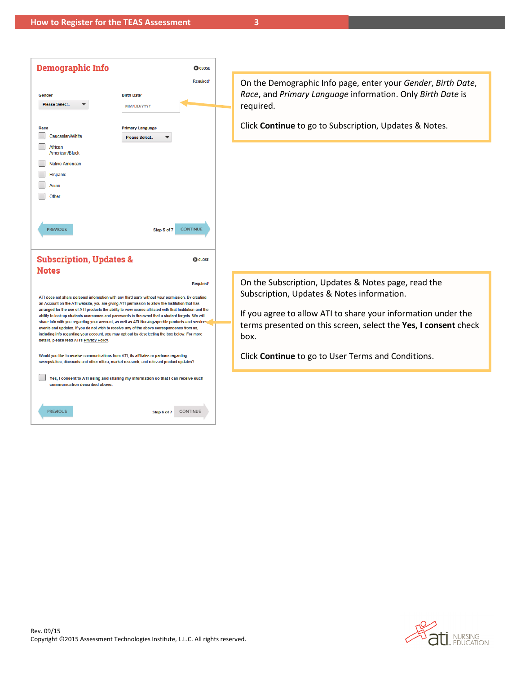| <b>Demographic Info</b>                    |                                                                                                                                                                                                              | <b>CO</b> CLOSE |
|--------------------------------------------|--------------------------------------------------------------------------------------------------------------------------------------------------------------------------------------------------------------|-----------------|
|                                            |                                                                                                                                                                                                              | Required*       |
| Gender                                     | <b>Birth Date*</b>                                                                                                                                                                                           |                 |
| Please Select                              | MM/DD/YYYY                                                                                                                                                                                                   |                 |
|                                            |                                                                                                                                                                                                              |                 |
| Race                                       | <b>Primary Language</b>                                                                                                                                                                                      |                 |
| Caucasian/White                            | Please Select                                                                                                                                                                                                |                 |
| African<br><b>American/Black</b>           |                                                                                                                                                                                                              |                 |
| <b>Native American</b>                     |                                                                                                                                                                                                              |                 |
| <b>Hispanic</b>                            |                                                                                                                                                                                                              |                 |
| <b>Asian</b>                               |                                                                                                                                                                                                              |                 |
| Other                                      |                                                                                                                                                                                                              |                 |
|                                            |                                                                                                                                                                                                              |                 |
|                                            |                                                                                                                                                                                                              |                 |
| <b>PREVIOUS</b>                            | Step 5 of 7                                                                                                                                                                                                  | <b>CONTINUE</b> |
|                                            |                                                                                                                                                                                                              |                 |
|                                            |                                                                                                                                                                                                              |                 |
| <b>Subscription, Updates &amp;</b>         |                                                                                                                                                                                                              | <b>@</b> CLOSE  |
| <b>Notes</b>                               |                                                                                                                                                                                                              |                 |
|                                            |                                                                                                                                                                                                              | Required*       |
|                                            | ATI does not share personal information with any third party without your permission. By creating                                                                                                            |                 |
|                                            | an Account on the ATI website, you are giving ATI permission to allow the Institution that has                                                                                                               |                 |
|                                            | arranged for the use of ATI products the ability to view scores affiliated with that Institution and the<br>ability to look up students usernames and passwords in the event that a student forgets. We will |                 |
|                                            | share info with you regarding your account, as well as ATI Nursing-specific products and services                                                                                                            |                 |
|                                            | events and updates. If you do not wish to receive any of the above correspondence from us,<br>including info regarding your account, you may opt out by deselecting the box below. For more                  |                 |
| details, please read ATI's Privacy Policy. |                                                                                                                                                                                                              |                 |
|                                            | Would you like to receive communications from ATI, its affiliates or partners regarding                                                                                                                      |                 |
|                                            | sweepstakes, discounts and other offers, market research, and relevant product updates?                                                                                                                      |                 |
| communication described above.             | Yes, I consent to ATI using and sharing my information so that I can receive such                                                                                                                            |                 |
|                                            |                                                                                                                                                                                                              |                 |
|                                            |                                                                                                                                                                                                              |                 |
| <b>PREVIOUS</b>                            | Step 6 of 7                                                                                                                                                                                                  | <b>CONTINUE</b> |

On the Demographic Info page, enter your *Gender*, *Birth Date*, *Race*, and *Primary Language* information. Only *Birth Date* is required.

Click **Continue** to go to Subscription, Updates & Notes.

On the Subscription, Updates & Notes page, read the Subscription, Updates & Notes information.

If you agree to allow ATI to share your information under the terms presented on this screen, select the **Yes, I consent** check box.

Click **Continue** to go to User Terms and Conditions.

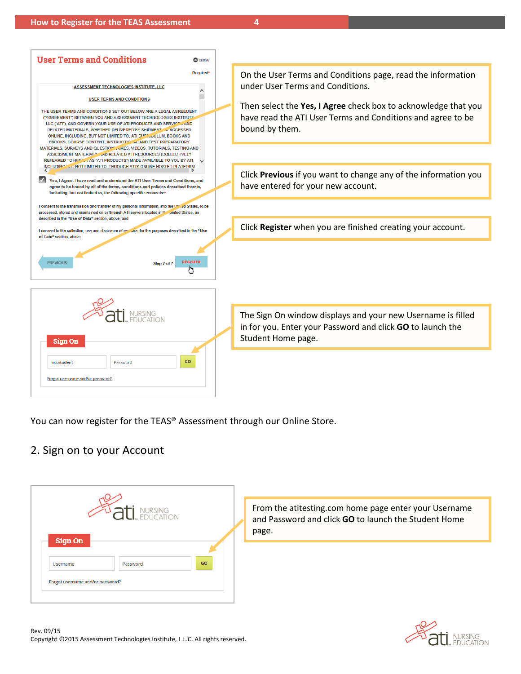

You can now register for the TEAS® Assessment through our Online Store.

#### 2. Sign on to your Account



From the [atitesting.com](https://www.atitesting.com/Home.aspx) home page enter your Username and Password and click **GO** to launch the Student Home page.

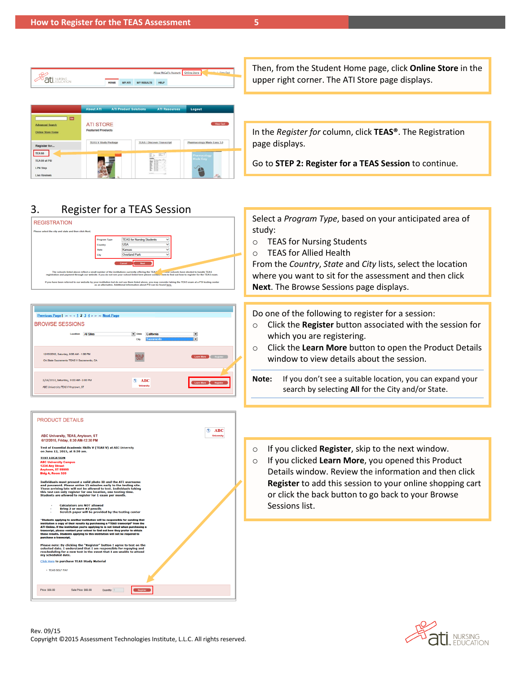| <b>Alissa McCall's Account</b><br>Sign Out<br>ling Stare |               |                   |             |  |  |
|----------------------------------------------------------|---------------|-------------------|-------------|--|--|
| <b>HOME</b>                                              | <b>MY ATI</b> | <b>MY RESULTS</b> | <b>HELP</b> |  |  |
|                                                          |               |                   |             |  |  |

Then, from the Student Home page, click **Online Store** in the upper right corner. The ATI Store page displays.

**To ATI STORE Advanced Search Online Store Home TEAS V Study Package** TEAS / Di e Easy 3.0 Register for... TEASO **Mundez** TEAS® at PSI LPN Step Live Re

### 3. Register for a TEAS Session







In the *Register for* column, click **TEAS®**. The Registration page displays.

Go to **STEP 2: Register for a TEAS Session** to continue.

Select a *Program Type*, based on your anticipated area of study:

- o TEAS for Nursing Students
- o TEAS for Allied Health

From the *Country*, *State* and *City* lists, select the location where you want to sit for the assessment and then click **Next**. The Browse Sessions page displays.

Do one of the following to register for a session:

- o Click the **Register** button associated with the session for which you are registering.
- o Click the **Learn More** button to open the Product Details window to view details about the session.
- **Note:** If you don't see a suitable location, you can expand your search by selecting **All** for the City and/or State.
- o If you clicked **Register**, skip to the next window.
- o If you clicked **Learn More**, you opened this Product Details window. Review the information and then click **Register** to add this session to your online shopping cart or click the back button to go back to your Browse Sessions list.

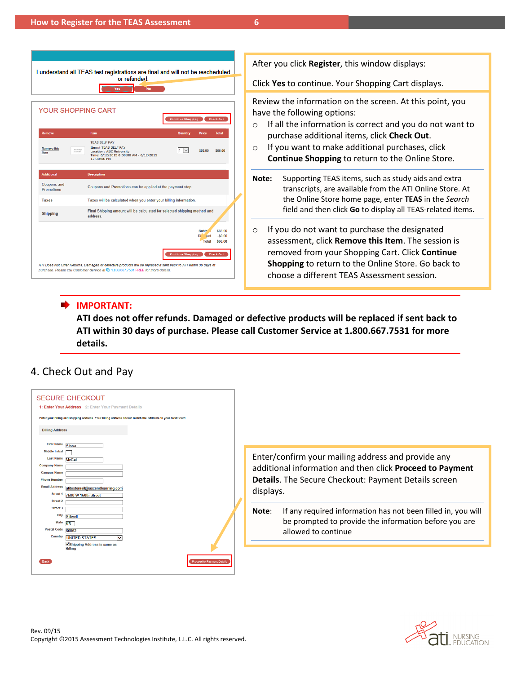| I understand all TEAS test registrations are final and will not be rescheduled<br>or refunded.<br>`No<br>Yes                                                     |                                                                                                                                                                        |                                |                                      |                               |  |  |
|------------------------------------------------------------------------------------------------------------------------------------------------------------------|------------------------------------------------------------------------------------------------------------------------------------------------------------------------|--------------------------------|--------------------------------------|-------------------------------|--|--|
|                                                                                                                                                                  | YOUR SHOPPING CART                                                                                                                                                     | <b>Continue Shopping</b>       |                                      | <b>Check Out</b>              |  |  |
| Remove                                                                                                                                                           | <b>Item</b>                                                                                                                                                            | Quantity                       | Price                                | <b>Total</b>                  |  |  |
| <b>Remove this</b><br>Item                                                                                                                                       | <b>TEAS SELF PAY</b><br><b>Item# TEAS SELF PAY</b><br>no image<br><b>Location: ABC University</b><br>welable.<br>Time: 6/12/2015 8:30:00 AM - 6/12/2015<br>12:30:00 PM | I1.<br>$\overline{\mathbf{v}}$ | S66.00                               | S66.00                        |  |  |
| <b>Additional</b>                                                                                                                                                | <b>Description</b>                                                                                                                                                     |                                |                                      |                               |  |  |
| <b>Coupons and</b><br><b>Promotions</b>                                                                                                                          | Coupons and Promotions can be applied at the payment step.                                                                                                             |                                |                                      |                               |  |  |
| <b>Taxes</b>                                                                                                                                                     | Taxes will be calculated when you enter your billing information.                                                                                                      |                                |                                      |                               |  |  |
| <b>Shipping</b>                                                                                                                                                  | Final Shipping amount will be calculated for selected shipping method and<br>address.                                                                                  |                                |                                      |                               |  |  |
|                                                                                                                                                                  |                                                                                                                                                                        |                                | Subto*<br>Dif<br><b>unt</b><br>Total | \$66.00<br>$-5000$<br>\$66.00 |  |  |
| <b>Check Out</b><br><b>Continue Shopping</b><br>ATI Does Not Offer Returns. Damaged or defective products will be replaced if sent back to ATI within 30 days of |                                                                                                                                                                        |                                |                                      |                               |  |  |

After you click **Register**, this window displays:

Click **Yes** to continue. Your Shopping Cart displays.

Review the information on the screen. At this point, you have the following options:

- o If all the information is correct and you do not want to purchase additional items, click **Check Out**.
- o If you want to make additional purchases, click **Continue Shopping** to return to the Online Store.
- **Note:** Supporting TEAS items, such as study aids and extra transcripts, are available from the ATI Online Store. At the Online Store home page, enter **TEAS** in the *Search* field and then click **Go** to display all TEAS-related items.
- o If you do not want to purchase the designated assessment, click **Remove this Item**. The session is removed from your Shopping Cart. Click **Continue Shopping** to return to the Online Store. Go back to choose a different TEAS Assessment session.

#### **IMPORTANT:**

**ATI does not offer refunds. Damaged or defective products will be replaced if sent back to ATI within 30 days of purchase. Please call Customer Service at 1.800.667.7531 for more details.**

#### 4. Check Out and Pay